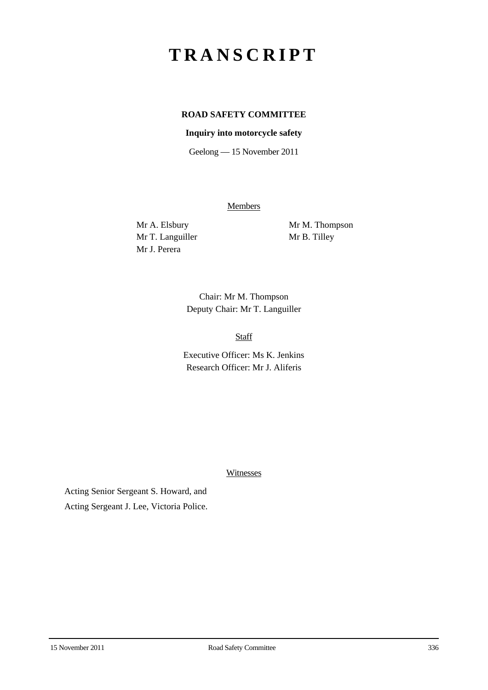# **TRANSCRIPT**

# **ROAD SAFETY COMMITTEE**

# **Inquiry into motorcycle safety**

Geelong — 15 November 2011

**Members** 

Mr T. Languiller Mr B. Tilley Mr J. Perera

Mr A. Elsbury Mr M. Thompson

Chair: Mr M. Thompson Deputy Chair: Mr T. Languiller

Staff

Executive Officer: Ms K. Jenkins Research Officer: Mr J. Aliferis

Witnesses

Acting Senior Sergeant S. Howard, and Acting Sergeant J. Lee, Victoria Police.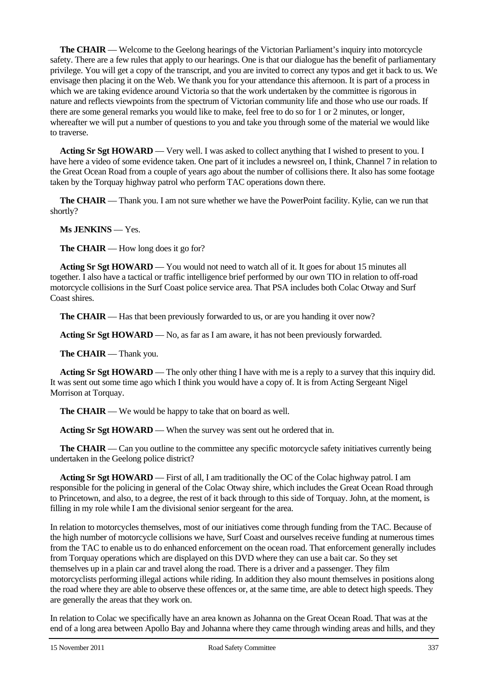**The CHAIR** — Welcome to the Geelong hearings of the Victorian Parliament's inquiry into motorcycle safety. There are a few rules that apply to our hearings. One is that our dialogue has the benefit of parliamentary privilege. You will get a copy of the transcript, and you are invited to correct any typos and get it back to us. We envisage then placing it on the Web. We thank you for your attendance this afternoon. It is part of a process in which we are taking evidence around Victoria so that the work undertaken by the committee is rigorous in nature and reflects viewpoints from the spectrum of Victorian community life and those who use our roads. If there are some general remarks you would like to make, feel free to do so for 1 or 2 minutes, or longer, whereafter we will put a number of questions to you and take you through some of the material we would like to traverse.

**Acting Sr Sgt HOWARD** — Very well. I was asked to collect anything that I wished to present to you. I have here a video of some evidence taken. One part of it includes a newsreel on, I think, Channel 7 in relation to the Great Ocean Road from a couple of years ago about the number of collisions there. It also has some footage taken by the Torquay highway patrol who perform TAC operations down there.

**The CHAIR** — Thank you. I am not sure whether we have the PowerPoint facility. Kylie, can we run that shortly?

**Ms JENKINS** — Yes.

**The CHAIR** — How long does it go for?

**Acting Sr Sgt HOWARD** — You would not need to watch all of it. It goes for about 15 minutes all together. I also have a tactical or traffic intelligence brief performed by our own TIO in relation to off-road motorcycle collisions in the Surf Coast police service area. That PSA includes both Colac Otway and Surf Coast shires.

**The CHAIR** — Has that been previously forwarded to us, or are you handing it over now?

**Acting Sr Sgt HOWARD** — No, as far as I am aware, it has not been previously forwarded.

**The CHAIR** — Thank you.

**Acting Sr Sgt HOWARD** — The only other thing I have with me is a reply to a survey that this inquiry did. It was sent out some time ago which I think you would have a copy of. It is from Acting Sergeant Nigel Morrison at Torquay.

**The CHAIR** — We would be happy to take that on board as well.

**Acting Sr Sgt HOWARD** — When the survey was sent out he ordered that in.

**The CHAIR** — Can you outline to the committee any specific motorcycle safety initiatives currently being undertaken in the Geelong police district?

**Acting Sr Sgt HOWARD** — First of all, I am traditionally the OC of the Colac highway patrol. I am responsible for the policing in general of the Colac Otway shire, which includes the Great Ocean Road through to Princetown, and also, to a degree, the rest of it back through to this side of Torquay. John, at the moment, is filling in my role while I am the divisional senior sergeant for the area.

In relation to motorcycles themselves, most of our initiatives come through funding from the TAC. Because of the high number of motorcycle collisions we have, Surf Coast and ourselves receive funding at numerous times from the TAC to enable us to do enhanced enforcement on the ocean road. That enforcement generally includes from Torquay operations which are displayed on this DVD where they can use a bait car. So they set themselves up in a plain car and travel along the road. There is a driver and a passenger. They film motorcyclists performing illegal actions while riding. In addition they also mount themselves in positions along the road where they are able to observe these offences or, at the same time, are able to detect high speeds. They are generally the areas that they work on.

In relation to Colac we specifically have an area known as Johanna on the Great Ocean Road. That was at the end of a long area between Apollo Bay and Johanna where they came through winding areas and hills, and they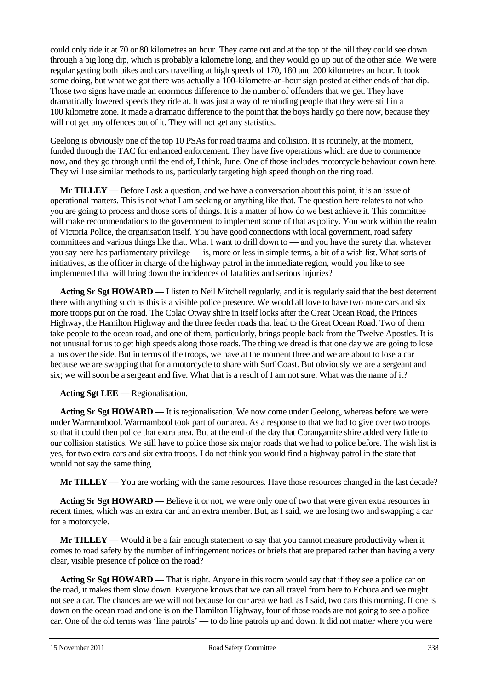could only ride it at 70 or 80 kilometres an hour. They came out and at the top of the hill they could see down through a big long dip, which is probably a kilometre long, and they would go up out of the other side. We were regular getting both bikes and cars travelling at high speeds of 170, 180 and 200 kilometres an hour. It took some doing, but what we got there was actually a 100-kilometre-an-hour sign posted at either ends of that dip. Those two signs have made an enormous difference to the number of offenders that we get. They have dramatically lowered speeds they ride at. It was just a way of reminding people that they were still in a 100 kilometre zone. It made a dramatic difference to the point that the boys hardly go there now, because they will not get any offences out of it. They will not get any statistics.

Geelong is obviously one of the top 10 PSAs for road trauma and collision. It is routinely, at the moment, funded through the TAC for enhanced enforcement. They have five operations which are due to commence now, and they go through until the end of, I think, June. One of those includes motorcycle behaviour down here. They will use similar methods to us, particularly targeting high speed though on the ring road.

**Mr TILLEY** — Before I ask a question, and we have a conversation about this point, it is an issue of operational matters. This is not what I am seeking or anything like that. The question here relates to not who you are going to process and those sorts of things. It is a matter of how do we best achieve it. This committee will make recommendations to the government to implement some of that as policy. You work within the realm of Victoria Police, the organisation itself. You have good connections with local government, road safety committees and various things like that. What I want to drill down to — and you have the surety that whatever you say here has parliamentary privilege — is, more or less in simple terms, a bit of a wish list. What sorts of initiatives, as the officer in charge of the highway patrol in the immediate region, would you like to see implemented that will bring down the incidences of fatalities and serious injuries?

**Acting Sr Sgt HOWARD** — I listen to Neil Mitchell regularly, and it is regularly said that the best deterrent there with anything such as this is a visible police presence. We would all love to have two more cars and six more troops put on the road. The Colac Otway shire in itself looks after the Great Ocean Road, the Princes Highway, the Hamilton Highway and the three feeder roads that lead to the Great Ocean Road. Two of them take people to the ocean road, and one of them, particularly, brings people back from the Twelve Apostles. It is not unusual for us to get high speeds along those roads. The thing we dread is that one day we are going to lose a bus over the side. But in terms of the troops, we have at the moment three and we are about to lose a car because we are swapping that for a motorcycle to share with Surf Coast. But obviously we are a sergeant and six; we will soon be a sergeant and five. What that is a result of I am not sure. What was the name of it?

**Acting Sgt LEE** — Regionalisation.

**Acting Sr Sgt HOWARD** — It is regionalisation. We now come under Geelong, whereas before we were under Warrnambool. Warrnambool took part of our area. As a response to that we had to give over two troops so that it could then police that extra area. But at the end of the day that Corangamite shire added very little to our collision statistics. We still have to police those six major roads that we had to police before. The wish list is yes, for two extra cars and six extra troops. I do not think you would find a highway patrol in the state that would not say the same thing.

**Mr TILLEY** — You are working with the same resources. Have those resources changed in the last decade?

**Acting Sr Sgt HOWARD** — Believe it or not, we were only one of two that were given extra resources in recent times, which was an extra car and an extra member. But, as I said, we are losing two and swapping a car for a motorcycle.

**Mr TILLEY** — Would it be a fair enough statement to say that you cannot measure productivity when it comes to road safety by the number of infringement notices or briefs that are prepared rather than having a very clear, visible presence of police on the road?

**Acting Sr Sgt HOWARD** — That is right. Anyone in this room would say that if they see a police car on the road, it makes them slow down. Everyone knows that we can all travel from here to Echuca and we might not see a car. The chances are we will not because for our area we had, as I said, two cars this morning. If one is down on the ocean road and one is on the Hamilton Highway, four of those roads are not going to see a police car. One of the old terms was 'line patrols' — to do line patrols up and down. It did not matter where you were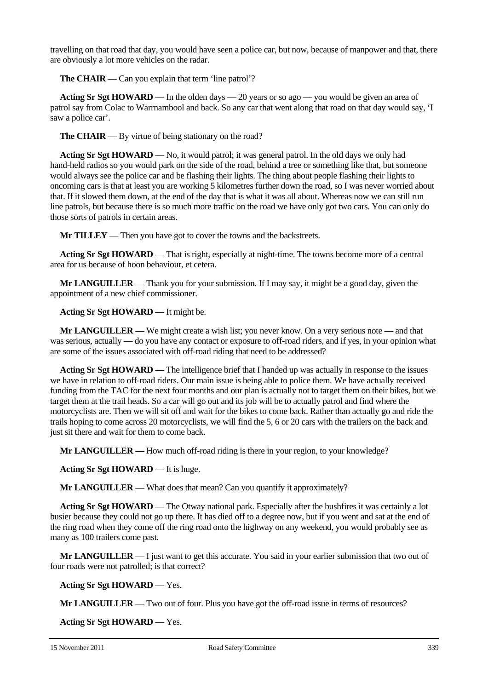travelling on that road that day, you would have seen a police car, but now, because of manpower and that, there are obviously a lot more vehicles on the radar.

**The CHAIR** — Can you explain that term 'line patrol'?

**Acting Sr Sgt HOWARD** — In the olden days — 20 years or so ago — you would be given an area of patrol say from Colac to Warrnambool and back. So any car that went along that road on that day would say, 'I saw a police car'.

**The CHAIR** — By virtue of being stationary on the road?

**Acting Sr Sgt HOWARD** — No, it would patrol; it was general patrol. In the old days we only had hand-held radios so you would park on the side of the road, behind a tree or something like that, but someone would always see the police car and be flashing their lights. The thing about people flashing their lights to oncoming cars is that at least you are working 5 kilometres further down the road, so I was never worried about that. If it slowed them down, at the end of the day that is what it was all about. Whereas now we can still run line patrols, but because there is so much more traffic on the road we have only got two cars. You can only do those sorts of patrols in certain areas.

**Mr TILLEY** — Then you have got to cover the towns and the backstreets.

**Acting Sr Sgt HOWARD** — That is right, especially at night-time. The towns become more of a central area for us because of hoon behaviour, et cetera.

**Mr LANGUILLER** — Thank you for your submission. If I may say, it might be a good day, given the appointment of a new chief commissioner.

#### **Acting Sr Sgt HOWARD** — It might be.

**Mr LANGUILLER** — We might create a wish list; you never know. On a very serious note — and that was serious, actually — do you have any contact or exposure to off-road riders, and if yes, in your opinion what are some of the issues associated with off-road riding that need to be addressed?

**Acting Sr Sgt HOWARD** — The intelligence brief that I handed up was actually in response to the issues we have in relation to off-road riders. Our main issue is being able to police them. We have actually received funding from the TAC for the next four months and our plan is actually not to target them on their bikes, but we target them at the trail heads. So a car will go out and its job will be to actually patrol and find where the motorcyclists are. Then we will sit off and wait for the bikes to come back. Rather than actually go and ride the trails hoping to come across 20 motorcyclists, we will find the 5, 6 or 20 cars with the trailers on the back and just sit there and wait for them to come back.

**Mr LANGUILLER** — How much off-road riding is there in your region, to your knowledge?

**Acting Sr Sgt HOWARD** — It is huge.

**Mr LANGUILLER** — What does that mean? Can you quantify it approximately?

**Acting Sr Sgt HOWARD** — The Otway national park. Especially after the bushfires it was certainly a lot busier because they could not go up there. It has died off to a degree now, but if you went and sat at the end of the ring road when they come off the ring road onto the highway on any weekend, you would probably see as many as 100 trailers come past.

**Mr LANGUILLER** — I just want to get this accurate. You said in your earlier submission that two out of four roads were not patrolled; is that correct?

**Acting Sr Sgt HOWARD** — Yes.

**Mr LANGUILLER** — Two out of four. Plus you have got the off-road issue in terms of resources?

**Acting Sr Sgt HOWARD** — Yes.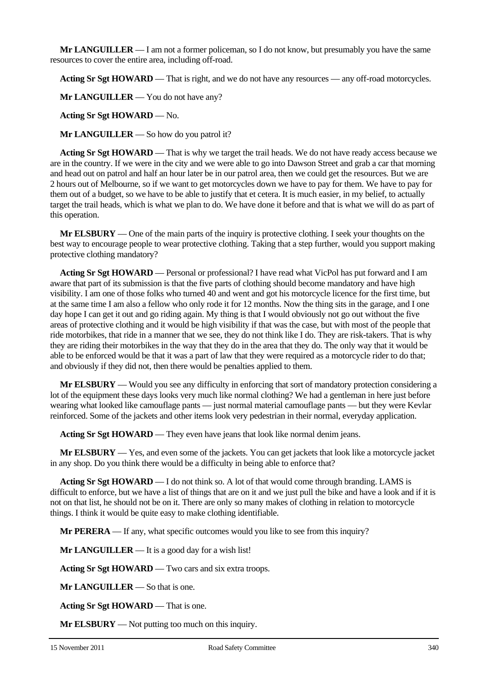**Mr LANGUILLER** — I am not a former policeman, so I do not know, but presumably you have the same resources to cover the entire area, including off-road.

**Acting Sr Sgt HOWARD** — That is right, and we do not have any resources — any off-road motorcycles.

**Mr LANGUILLER** — You do not have any?

**Acting Sr Sgt HOWARD** — No.

**Mr LANGUILLER** — So how do you patrol it?

**Acting Sr Sgt HOWARD** — That is why we target the trail heads. We do not have ready access because we are in the country. If we were in the city and we were able to go into Dawson Street and grab a car that morning and head out on patrol and half an hour later be in our patrol area, then we could get the resources. But we are 2 hours out of Melbourne, so if we want to get motorcycles down we have to pay for them. We have to pay for them out of a budget, so we have to be able to justify that et cetera. It is much easier, in my belief, to actually target the trail heads, which is what we plan to do. We have done it before and that is what we will do as part of this operation.

**Mr ELSBURY** — One of the main parts of the inquiry is protective clothing. I seek your thoughts on the best way to encourage people to wear protective clothing. Taking that a step further, would you support making protective clothing mandatory?

**Acting Sr Sgt HOWARD** — Personal or professional? I have read what VicPol has put forward and I am aware that part of its submission is that the five parts of clothing should become mandatory and have high visibility. I am one of those folks who turned 40 and went and got his motorcycle licence for the first time, but at the same time I am also a fellow who only rode it for 12 months. Now the thing sits in the garage, and I one day hope I can get it out and go riding again. My thing is that I would obviously not go out without the five areas of protective clothing and it would be high visibility if that was the case, but with most of the people that ride motorbikes, that ride in a manner that we see, they do not think like I do. They are risk-takers. That is why they are riding their motorbikes in the way that they do in the area that they do. The only way that it would be able to be enforced would be that it was a part of law that they were required as a motorcycle rider to do that; and obviously if they did not, then there would be penalties applied to them.

**Mr ELSBURY** — Would you see any difficulty in enforcing that sort of mandatory protection considering a lot of the equipment these days looks very much like normal clothing? We had a gentleman in here just before wearing what looked like camouflage pants — just normal material camouflage pants — but they were Kevlar reinforced. Some of the jackets and other items look very pedestrian in their normal, everyday application.

**Acting Sr Sgt HOWARD** — They even have jeans that look like normal denim jeans.

**Mr ELSBURY** — Yes, and even some of the jackets. You can get jackets that look like a motorcycle jacket in any shop. Do you think there would be a difficulty in being able to enforce that?

**Acting Sr Sgt HOWARD** — I do not think so. A lot of that would come through branding. LAMS is difficult to enforce, but we have a list of things that are on it and we just pull the bike and have a look and if it is not on that list, he should not be on it. There are only so many makes of clothing in relation to motorcycle things. I think it would be quite easy to make clothing identifiable.

**Mr PERERA** — If any, what specific outcomes would you like to see from this inquiry?

**Mr LANGUILLER** — It is a good day for a wish list!

**Acting Sr Sgt HOWARD** — Two cars and six extra troops.

**Mr LANGUILLER** — So that is one.

**Acting Sr Sgt HOWARD** — That is one.

**Mr ELSBURY** — Not putting too much on this inquiry.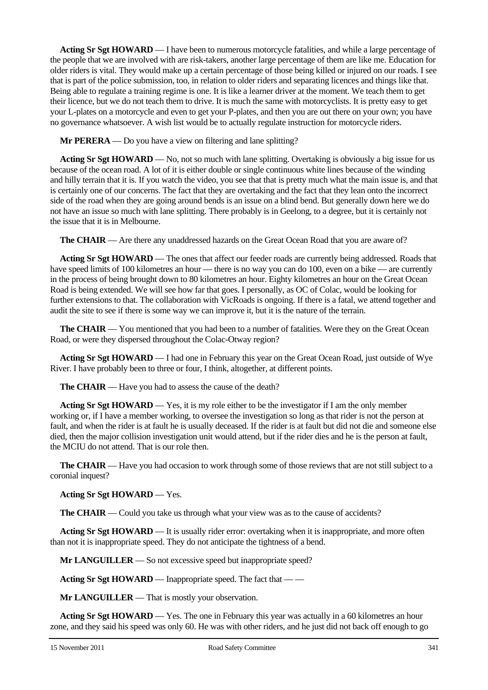**Acting Sr Sgt HOWARD** — I have been to numerous motorcycle fatalities, and while a large percentage of the people that we are involved with are risk-takers, another large percentage of them are like me. Education for older riders is vital. They would make up a certain percentage of those being killed or injured on our roads. I see that is part of the police submission, too, in relation to older riders and separating licences and things like that. Being able to regulate a training regime is one. It is like a learner driver at the moment. We teach them to get their licence, but we do not teach them to drive. It is much the same with motorcyclists. It is pretty easy to get your L-plates on a motorcycle and even to get your P-plates, and then you are out there on your own; you have no governance whatsoever. A wish list would be to actually regulate instruction for motorcycle riders.

**Mr PERERA** — Do you have a view on filtering and lane splitting?

**Acting Sr Sgt HOWARD** — No, not so much with lane splitting. Overtaking is obviously a big issue for us because of the ocean road. A lot of it is either double or single continuous white lines because of the winding and hilly terrain that it is. If you watch the video, you see that that is pretty much what the main issue is, and that is certainly one of our concerns. The fact that they are overtaking and the fact that they lean onto the incorrect side of the road when they are going around bends is an issue on a blind bend. But generally down here we do not have an issue so much with lane splitting. There probably is in Geelong, to a degree, but it is certainly not the issue that it is in Melbourne.

**The CHAIR** — Are there any unaddressed hazards on the Great Ocean Road that you are aware of?

**Acting Sr Sgt HOWARD** — The ones that affect our feeder roads are currently being addressed. Roads that have speed limits of 100 kilometres an hour — there is no way you can do 100, even on a bike — are currently in the process of being brought down to 80 kilometres an hour. Eighty kilometres an hour on the Great Ocean Road is being extended. We will see how far that goes. I personally, as OC of Colac, would be looking for further extensions to that. The collaboration with VicRoads is ongoing. If there is a fatal, we attend together and audit the site to see if there is some way we can improve it, but it is the nature of the terrain.

**The CHAIR** — You mentioned that you had been to a number of fatalities. Were they on the Great Ocean Road, or were they dispersed throughout the Colac-Otway region?

**Acting Sr Sgt HOWARD** — I had one in February this year on the Great Ocean Road, just outside of Wye River. I have probably been to three or four, I think, altogether, at different points.

**The CHAIR** — Have you had to assess the cause of the death?

**Acting Sr Sgt HOWARD** — Yes, it is my role either to be the investigator if I am the only member working or, if I have a member working, to oversee the investigation so long as that rider is not the person at fault, and when the rider is at fault he is usually deceased. If the rider is at fault but did not die and someone else died, then the major collision investigation unit would attend, but if the rider dies and he is the person at fault, the MCIU do not attend. That is our role then.

**The CHAIR** — Have you had occasion to work through some of those reviews that are not still subject to a coronial inquest?

#### **Acting Sr Sgt HOWARD** — Yes.

**The CHAIR** — Could you take us through what your view was as to the cause of accidents?

**Acting Sr Sgt HOWARD** — It is usually rider error: overtaking when it is inappropriate, and more often than not it is inappropriate speed. They do not anticipate the tightness of a bend.

**Mr LANGUILLER** — So not excessive speed but inappropriate speed?

**Acting Sr Sgt HOWARD** — Inappropriate speed. The fact that — —

**Mr LANGUILLER** — That is mostly your observation.

**Acting Sr Sgt HOWARD** — Yes. The one in February this year was actually in a 60 kilometres an hour zone, and they said his speed was only 60. He was with other riders, and he just did not back off enough to go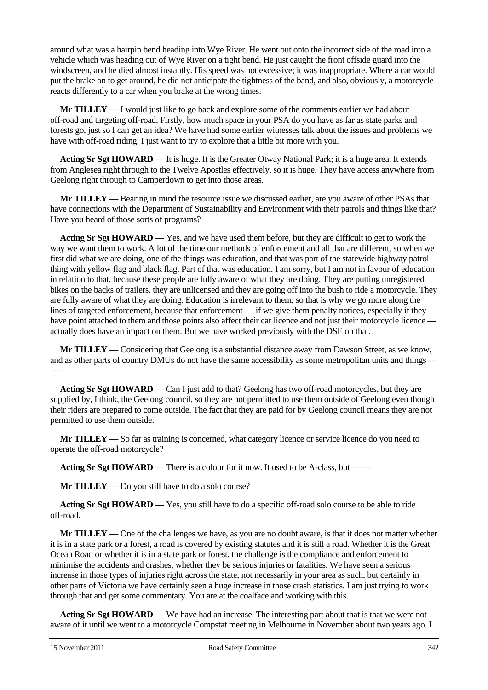around what was a hairpin bend heading into Wye River. He went out onto the incorrect side of the road into a vehicle which was heading out of Wye River on a tight bend. He just caught the front offside guard into the windscreen, and he died almost instantly. His speed was not excessive; it was inappropriate. Where a car would put the brake on to get around, he did not anticipate the tightness of the band, and also, obviously, a motorcycle reacts differently to a car when you brake at the wrong times.

**Mr TILLEY** — I would just like to go back and explore some of the comments earlier we had about off-road and targeting off-road. Firstly, how much space in your PSA do you have as far as state parks and forests go, just so I can get an idea? We have had some earlier witnesses talk about the issues and problems we have with off-road riding. I just want to try to explore that a little bit more with you.

**Acting Sr Sgt HOWARD** — It is huge. It is the Greater Otway National Park; it is a huge area. It extends from Anglesea right through to the Twelve Apostles effectively, so it is huge. They have access anywhere from Geelong right through to Camperdown to get into those areas.

**Mr TILLEY** — Bearing in mind the resource issue we discussed earlier, are you aware of other PSAs that have connections with the Department of Sustainability and Environment with their patrols and things like that? Have you heard of those sorts of programs?

**Acting Sr Sgt HOWARD** — Yes, and we have used them before, but they are difficult to get to work the way we want them to work. A lot of the time our methods of enforcement and all that are different, so when we first did what we are doing, one of the things was education, and that was part of the statewide highway patrol thing with yellow flag and black flag. Part of that was education. I am sorry, but I am not in favour of education in relation to that, because these people are fully aware of what they are doing. They are putting unregistered bikes on the backs of trailers, they are unlicensed and they are going off into the bush to ride a motorcycle. They are fully aware of what they are doing. Education is irrelevant to them, so that is why we go more along the lines of targeted enforcement, because that enforcement — if we give them penalty notices, especially if they have point attached to them and those points also affect their car licence and not just their motorcycle licence actually does have an impact on them. But we have worked previously with the DSE on that.

**Mr TILLEY** — Considering that Geelong is a substantial distance away from Dawson Street, as we know, and as other parts of country DMUs do not have the same accessibility as some metropolitan units and things — —

**Acting Sr Sgt HOWARD** — Can I just add to that? Geelong has two off-road motorcycles, but they are supplied by, I think, the Geelong council, so they are not permitted to use them outside of Geelong even though their riders are prepared to come outside. The fact that they are paid for by Geelong council means they are not permitted to use them outside.

**Mr TILLEY** — So far as training is concerned, what category licence or service licence do you need to operate the off-road motorcycle?

**Acting Sr Sgt HOWARD** — There is a colour for it now. It used to be A-class, but — —

**Mr TILLEY** — Do you still have to do a solo course?

**Acting Sr Sgt HOWARD** — Yes, you still have to do a specific off-road solo course to be able to ride off-road.

**Mr TILLEY** — One of the challenges we have, as you are no doubt aware, is that it does not matter whether it is in a state park or a forest, a road is covered by existing statutes and it is still a road. Whether it is the Great Ocean Road or whether it is in a state park or forest, the challenge is the compliance and enforcement to minimise the accidents and crashes, whether they be serious injuries or fatalities. We have seen a serious increase in those types of injuries right across the state, not necessarily in your area as such, but certainly in other parts of Victoria we have certainly seen a huge increase in those crash statistics. I am just trying to work through that and get some commentary. You are at the coalface and working with this.

**Acting Sr Sgt HOWARD** — We have had an increase. The interesting part about that is that we were not aware of it until we went to a motorcycle Compstat meeting in Melbourne in November about two years ago. I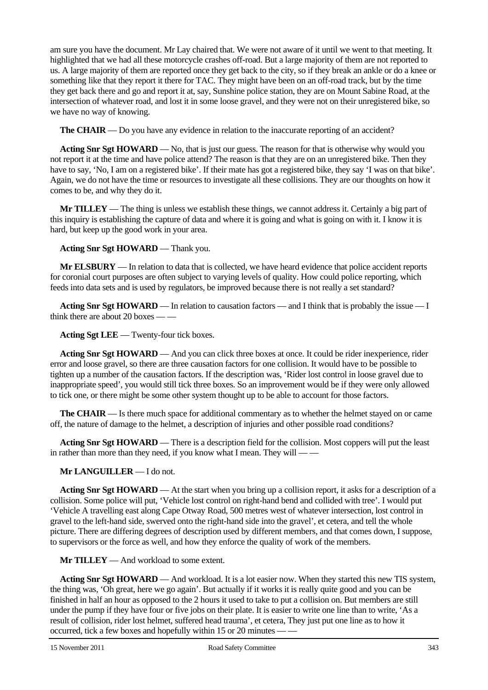am sure you have the document. Mr Lay chaired that. We were not aware of it until we went to that meeting. It highlighted that we had all these motorcycle crashes off-road. But a large majority of them are not reported to us. A large majority of them are reported once they get back to the city, so if they break an ankle or do a knee or something like that they report it there for TAC. They might have been on an off-road track, but by the time they get back there and go and report it at, say, Sunshine police station, they are on Mount Sabine Road, at the intersection of whatever road, and lost it in some loose gravel, and they were not on their unregistered bike, so we have no way of knowing.

**The CHAIR** — Do you have any evidence in relation to the inaccurate reporting of an accident?

**Acting Snr Sgt HOWARD** — No, that is just our guess. The reason for that is otherwise why would you not report it at the time and have police attend? The reason is that they are on an unregistered bike. Then they have to say, 'No, I am on a registered bike'. If their mate has got a registered bike, they say 'I was on that bike'. Again, we do not have the time or resources to investigate all these collisions. They are our thoughts on how it comes to be, and why they do it.

**Mr TILLEY** — The thing is unless we establish these things, we cannot address it. Certainly a big part of this inquiry is establishing the capture of data and where it is going and what is going on with it. I know it is hard, but keep up the good work in your area.

# **Acting Snr Sgt HOWARD** — Thank you.

**Mr ELSBURY** — In relation to data that is collected, we have heard evidence that police accident reports for coronial court purposes are often subject to varying levels of quality. How could police reporting, which feeds into data sets and is used by regulators, be improved because there is not really a set standard?

**Acting Snr Sgt HOWARD** — In relation to causation factors — and I think that is probably the issue — I think there are about 20 boxes — —

**Acting Sgt LEE** — Twenty-four tick boxes.

**Acting Snr Sgt HOWARD** — And you can click three boxes at once. It could be rider inexperience, rider error and loose gravel, so there are three causation factors for one collision. It would have to be possible to tighten up a number of the causation factors. If the description was, 'Rider lost control in loose gravel due to inappropriate speed', you would still tick three boxes. So an improvement would be if they were only allowed to tick one, or there might be some other system thought up to be able to account for those factors.

**The CHAIR** — Is there much space for additional commentary as to whether the helmet stayed on or came off, the nature of damage to the helmet, a description of injuries and other possible road conditions?

**Acting Snr Sgt HOWARD** — There is a description field for the collision. Most coppers will put the least in rather than more than they need, if you know what I mean. They will — —

**Mr LANGUILLER** — I do not.

**Acting Snr Sgt HOWARD** — At the start when you bring up a collision report, it asks for a description of a collision. Some police will put, 'Vehicle lost control on right-hand bend and collided with tree'. I would put 'Vehicle A travelling east along Cape Otway Road, 500 metres west of whatever intersection, lost control in gravel to the left-hand side, swerved onto the right-hand side into the gravel', et cetera, and tell the whole picture. There are differing degrees of description used by different members, and that comes down, I suppose, to supervisors or the force as well, and how they enforce the quality of work of the members.

**Mr TILLEY** — And workload to some extent.

**Acting Snr Sgt HOWARD** — And workload. It is a lot easier now. When they started this new TIS system, the thing was, 'Oh great, here we go again'. But actually if it works it is really quite good and you can be finished in half an hour as opposed to the 2 hours it used to take to put a collision on. But members are still under the pump if they have four or five jobs on their plate. It is easier to write one line than to write, 'As a result of collision, rider lost helmet, suffered head trauma', et cetera, They just put one line as to how it occurred, tick a few boxes and hopefully within 15 or 20 minutes — —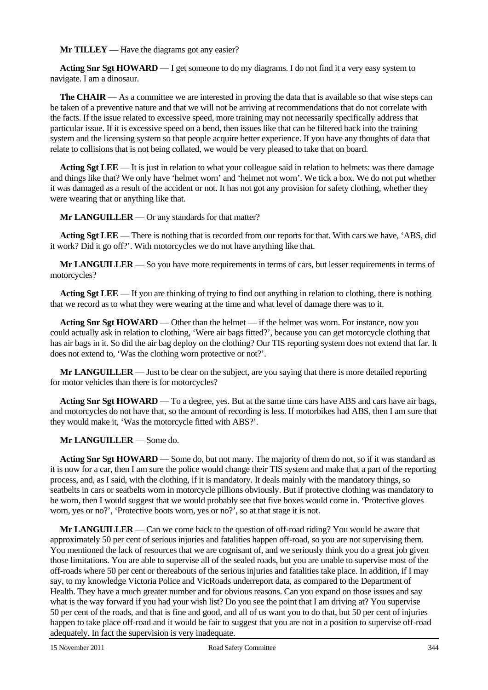**Mr TILLEY** — Have the diagrams got any easier?

**Acting Snr Sgt HOWARD** — I get someone to do my diagrams. I do not find it a very easy system to navigate. I am a dinosaur.

**The CHAIR** — As a committee we are interested in proving the data that is available so that wise steps can be taken of a preventive nature and that we will not be arriving at recommendations that do not correlate with the facts. If the issue related to excessive speed, more training may not necessarily specifically address that particular issue. If it is excessive speed on a bend, then issues like that can be filtered back into the training system and the licensing system so that people acquire better experience. If you have any thoughts of data that relate to collisions that is not being collated, we would be very pleased to take that on board.

**Acting Sgt LEE** — It is just in relation to what your colleague said in relation to helmets: was there damage and things like that? We only have 'helmet worn' and 'helmet not worn'. We tick a box. We do not put whether it was damaged as a result of the accident or not. It has not got any provision for safety clothing, whether they were wearing that or anything like that.

**Mr LANGUILLER** — Or any standards for that matter?

**Acting Sgt LEE** — There is nothing that is recorded from our reports for that. With cars we have, 'ABS, did it work? Did it go off?'. With motorcycles we do not have anything like that.

**Mr LANGUILLER** — So you have more requirements in terms of cars, but lesser requirements in terms of motorcycles?

**Acting Sgt LEE** — If you are thinking of trying to find out anything in relation to clothing, there is nothing that we record as to what they were wearing at the time and what level of damage there was to it.

**Acting Snr Sgt HOWARD** — Other than the helmet — if the helmet was worn. For instance, now you could actually ask in relation to clothing, 'Were air bags fitted?', because you can get motorcycle clothing that has air bags in it. So did the air bag deploy on the clothing? Our TIS reporting system does not extend that far. It does not extend to, 'Was the clothing worn protective or not?'.

**Mr LANGUILLER** — Just to be clear on the subject, are you saying that there is more detailed reporting for motor vehicles than there is for motorcycles?

**Acting Snr Sgt HOWARD** — To a degree, yes. But at the same time cars have ABS and cars have air bags, and motorcycles do not have that, so the amount of recording is less. If motorbikes had ABS, then I am sure that they would make it, 'Was the motorcycle fitted with ABS?'.

**Mr LANGUILLER** — Some do.

**Acting Snr Sgt HOWARD** — Some do, but not many. The majority of them do not, so if it was standard as it is now for a car, then I am sure the police would change their TIS system and make that a part of the reporting process, and, as I said, with the clothing, if it is mandatory. It deals mainly with the mandatory things, so seatbelts in cars or seatbelts worn in motorcycle pillions obviously. But if protective clothing was mandatory to be worn, then I would suggest that we would probably see that five boxes would come in. 'Protective gloves worn, yes or no?', 'Protective boots worn, yes or no?', so at that stage it is not.

**Mr LANGUILLER** — Can we come back to the question of off-road riding? You would be aware that approximately 50 per cent of serious injuries and fatalities happen off-road, so you are not supervising them. You mentioned the lack of resources that we are cognisant of, and we seriously think you do a great job given those limitations. You are able to supervise all of the sealed roads, but you are unable to supervise most of the off-roads where 50 per cent or thereabouts of the serious injuries and fatalities take place. In addition, if I may say, to my knowledge Victoria Police and VicRoads underreport data, as compared to the Department of Health. They have a much greater number and for obvious reasons. Can you expand on those issues and say what is the way forward if you had your wish list? Do you see the point that I am driving at? You supervise 50 per cent of the roads, and that is fine and good, and all of us want you to do that, but 50 per cent of injuries happen to take place off-road and it would be fair to suggest that you are not in a position to supervise off-road adequately. In fact the supervision is very inadequate.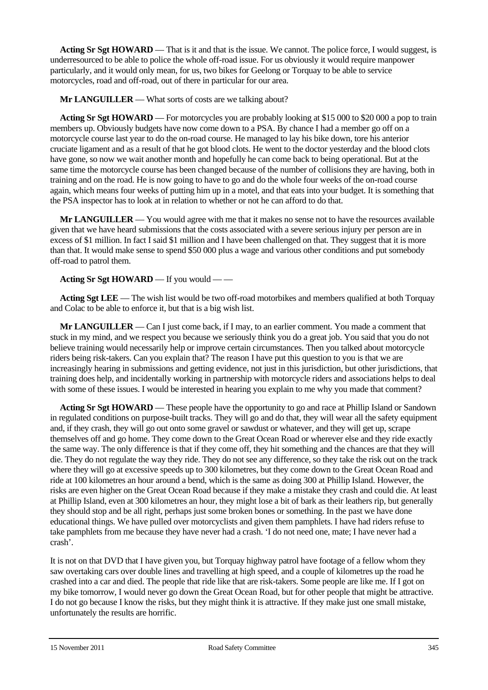**Acting Sr Sgt HOWARD** — That is it and that is the issue. We cannot. The police force, I would suggest, is underresourced to be able to police the whole off-road issue. For us obviously it would require manpower particularly, and it would only mean, for us, two bikes for Geelong or Torquay to be able to service motorcycles, road and off-road, out of there in particular for our area.

**Mr LANGUILLER** — What sorts of costs are we talking about?

**Acting Sr Sgt HOWARD** — For motorcycles you are probably looking at \$15 000 to \$20 000 a pop to train members up. Obviously budgets have now come down to a PSA. By chance I had a member go off on a motorcycle course last year to do the on-road course. He managed to lay his bike down, tore his anterior cruciate ligament and as a result of that he got blood clots. He went to the doctor yesterday and the blood clots have gone, so now we wait another month and hopefully he can come back to being operational. But at the same time the motorcycle course has been changed because of the number of collisions they are having, both in training and on the road. He is now going to have to go and do the whole four weeks of the on-road course again, which means four weeks of putting him up in a motel, and that eats into your budget. It is something that the PSA inspector has to look at in relation to whether or not he can afford to do that.

**Mr LANGUILLER** — You would agree with me that it makes no sense not to have the resources available given that we have heard submissions that the costs associated with a severe serious injury per person are in excess of \$1 million. In fact I said \$1 million and I have been challenged on that. They suggest that it is more than that. It would make sense to spend \$50 000 plus a wage and various other conditions and put somebody off-road to patrol them.

# **Acting Sr Sgt HOWARD** — If you would — —

**Acting Sgt LEE** — The wish list would be two off-road motorbikes and members qualified at both Torquay and Colac to be able to enforce it, but that is a big wish list.

**Mr LANGUILLER** — Can I just come back, if I may, to an earlier comment. You made a comment that stuck in my mind, and we respect you because we seriously think you do a great job. You said that you do not believe training would necessarily help or improve certain circumstances. Then you talked about motorcycle riders being risk-takers. Can you explain that? The reason I have put this question to you is that we are increasingly hearing in submissions and getting evidence, not just in this jurisdiction, but other jurisdictions, that training does help, and incidentally working in partnership with motorcycle riders and associations helps to deal with some of these issues. I would be interested in hearing you explain to me why you made that comment?

**Acting Sr Sgt HOWARD** — These people have the opportunity to go and race at Phillip Island or Sandown in regulated conditions on purpose-built tracks. They will go and do that, they will wear all the safety equipment and, if they crash, they will go out onto some gravel or sawdust or whatever, and they will get up, scrape themselves off and go home. They come down to the Great Ocean Road or wherever else and they ride exactly the same way. The only difference is that if they come off, they hit something and the chances are that they will die. They do not regulate the way they ride. They do not see any difference, so they take the risk out on the track where they will go at excessive speeds up to 300 kilometres, but they come down to the Great Ocean Road and ride at 100 kilometres an hour around a bend, which is the same as doing 300 at Phillip Island. However, the risks are even higher on the Great Ocean Road because if they make a mistake they crash and could die. At least at Phillip Island, even at 300 kilometres an hour, they might lose a bit of bark as their leathers rip, but generally they should stop and be all right, perhaps just some broken bones or something. In the past we have done educational things. We have pulled over motorcyclists and given them pamphlets. I have had riders refuse to take pamphlets from me because they have never had a crash. 'I do not need one, mate; I have never had a crash'.

It is not on that DVD that I have given you, but Torquay highway patrol have footage of a fellow whom they saw overtaking cars over double lines and travelling at high speed, and a couple of kilometres up the road he crashed into a car and died. The people that ride like that are risk-takers. Some people are like me. If I got on my bike tomorrow, I would never go down the Great Ocean Road, but for other people that might be attractive. I do not go because I know the risks, but they might think it is attractive. If they make just one small mistake, unfortunately the results are horrific.